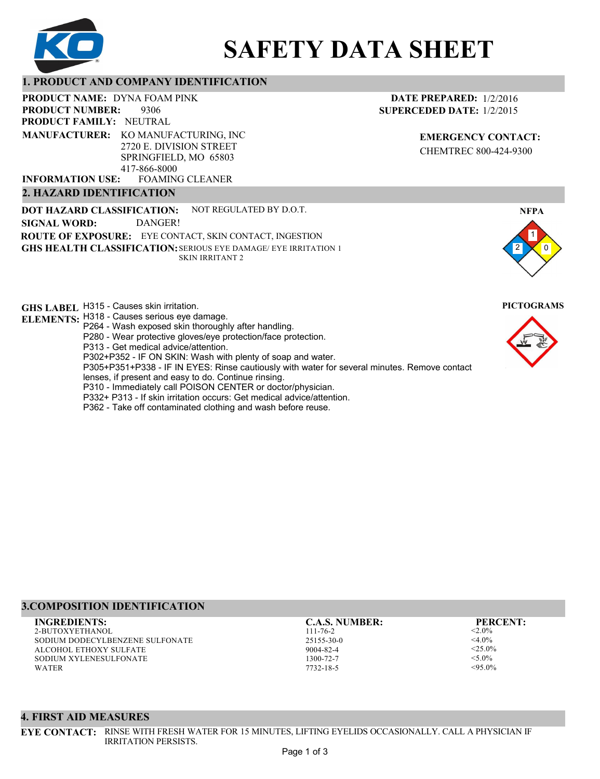

# **SAFETY DATA SHEET**

# **1. PRODUCT AND COMPANY IDENTIFICATION**

9306 **PRODUCT NAME: DYNA FOAM PINK PRODUCT FAMILY: NEUTRAL PRODUCT NUMBER:**

**MANUFACTURER:** KO MANUFACTURING, INC 2720 E. DIVISION STREET SPRINGFIELD, MO 65803 417-866-8000

FOAMING CLEANER **INFORMATION USE:**

# **2. HAZARD IDENTIFICATION**

**DOT HAZARD CLASSIFICATION: GHS HEALTH CLASSIFICATION:** SERIOUS EYE DAMAGE/ EYE IRRITATION 1 **ROUTE OF EXPOSURE:** EYE CONTACT, SKIN CONTACT, INGESTION NOT REGULATED BY D.O.T. SKIN IRRITANT 2 **SIGNAL WORD:** DANGER!

**GHS LABEL**  H315 - Causes skin irritation. **PICTOGRAMS**

- **ELEMENTS:** H318 Causes serious eye damage. P264 - Wash exposed skin thoroughly after handling.
	- P280 Wear protective gloves/eye protection/face protection.
	- P313 Get medical advice/attention.
	- P302+P352 IF ON SKIN: Wash with plenty of soap and water.

P305+P351+P338 - IF IN EYES: Rinse cautiously with water for several minutes. Remove contact

- lenses, if present and easy to do. Continue rinsing.
- P310 Immediately call POISON CENTER or doctor/physician.
- P332+ P313 If skin irritation occurs: Get medical advice/attention.
- P362 Take off contaminated clothing and wash before reuse.

# **DATE PREPARED:** 1/2/2016 **SUPERCEDED DATE:** 1/2/2015

**EMERGENCY CONTACT:** CHEMTREC 800-424-9300





# **3.COMPOSITION IDENTIFICATION**

2-BUTOXYETHANOL SODIUM DODECYLBENZENE SULFONATE ALCOHOL ETHOXY SULFATE SODIUM XYLENESULFONATE WATER **INGREDIENTS: C.A.S. NUMBER: PERCENT:**

111-76-2 25155-30-0 9004-82-4 1300-72-7 7732-18-5

 $< 2.0\%$  $<$ 4.0%  $<$ 25.0%  $<$ 5.0%  $< 95.0\%$ 

#### **4. FIRST AID MEASURES**

**EYE CONTACT:** RINSE WITH FRESH WATER FOR 15 MINUTES, LIFTING EYELIDS OCCASIONALLY. CALL A PHYSICIAN IF IRRITATION PERSISTS.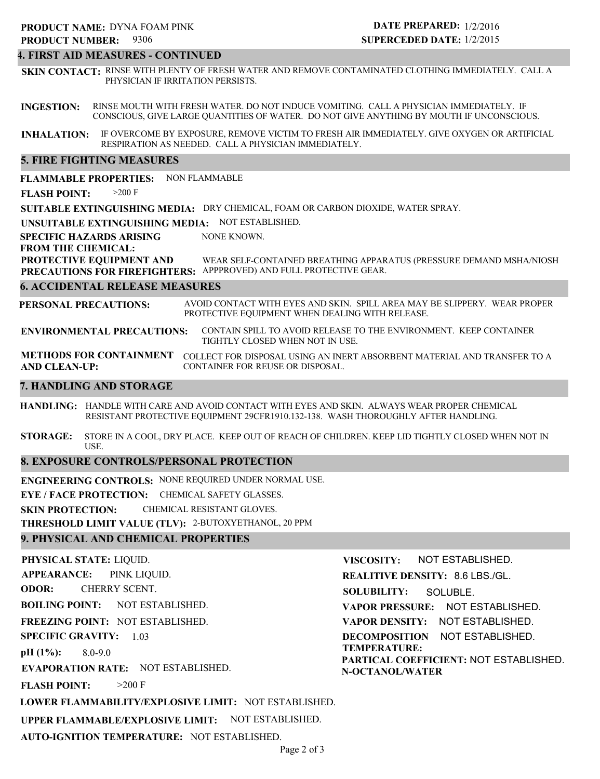#### **4. FIRST AID MEASURES - CONTINUED**

**SKIN CONTACT:** RINSE WITH PLENTY OF FRESH WATER AND REMOVE CONTAMINATED CLOTHING IMMEDIATELY. CALL A PHYSICIAN IF IRRITATION PERSISTS.

**INGESTION:** RINSE MOUTH WITH FRESH WATER. DO NOT INDUCE VOMITING. CALL A PHYSICIAN IMMEDIATELY. IF CONSCIOUS, GIVE LARGE QUANTITIES OF WATER. DO NOT GIVE ANYTHING BY MOUTH IF UNCONSCIOUS.

**INHALATION:** IF OVERCOME BY EXPOSURE, REMOVE VICTIM TO FRESH AIR IMMEDIATELY. GIVE OXYGEN OR ARTIFICIAL RESPIRATION AS NEEDED. CALL A PHYSICIAN IMMEDIATELY.

#### **5. FIRE FIGHTING MEASURES**

**FLAMMABLE PROPERTIES:** NON FLAMMABLE

**FLASH POINT:** >200 F

**SUITABLE EXTINGUISHING MEDIA:** DRY CHEMICAL, FOAM OR CARBON DIOXIDE, WATER SPRAY.

**UNSUITABLE EXTINGUISHING MEDIA:** NOT ESTABLISHED.

**SPECIFIC HAZARDS ARISING** NONE KNOWN.

**FROM THE CHEMICAL:**

**PROTECTIVE EQUIPMENT AND PRECAUTIONS FOR FIREFIGHTERS:** APPPROVED) AND FULL PROTECTIVE GEAR. WEAR SELF-CONTAINED BREATHING APPARATUS (PRESSURE DEMAND MSHA/NIOSH

#### **6. ACCIDENTAL RELEASE MEASURES**

**PERSONAL PRECAUTIONS:** AVOID CONTACT WITH EYES AND SKIN. SPILL AREA MAY BE SLIPPERY. WEAR PROPER PROTECTIVE EQUIPMENT WHEN DEALING WITH RELEASE.

**ENVIRONMENTAL PRECAUTIONS:** CONTAIN SPILL TO AVOID RELEASE TO THE ENVIRONMENT. KEEP CONTAINER TIGHTLY CLOSED WHEN NOT IN USE.

**METHODS FOR CONTAINMENT** COLLECT FOR DISPOSAL USING AN INERT ABSORBENT MATERIAL AND TRANSFER TO A **AND CLEAN-UP:** CONTAINER FOR REUSE OR DISPOSAL.

#### **7. HANDLING AND STORAGE**

**HANDLING:** HANDLE WITH CARE AND AVOID CONTACT WITH EYES AND SKIN. ALWAYS WEAR PROPER CHEMICAL RESISTANT PROTECTIVE EQUIPMENT 29CFR1910.132-138. WASH THOROUGHLY AFTER HANDLING.

**STORAGE:** STORE IN A COOL, DRY PLACE. KEEP OUT OF REACH OF CHILDREN. KEEP LID TIGHTLY CLOSED WHEN NOT IN USE.

#### **8. EXPOSURE CONTROLS/PERSONAL PROTECTION**

**ENGINEERING CONTROLS:** NONE REQUIRED UNDER NORMAL USE.

**EYE / FACE PROTECTION:** CHEMICAL SAFETY GLASSES.

**SKIN PROTECTION:** CHEMICAL RESISTANT GLOVES.

**THRESHOLD LIMIT VALUE (TLV):** 2-BUTOXYETHANOL, 20 PPM

#### **9. PHYSICAL AND CHEMICAL PROPERTIES**

**PHYSICAL STATE:** LIQUID. **APPEARANCE: ODOR: BOILING POINT:** NOT ESTABLISHED. **FREEZING POINT:** NOT ESTABLISHED. **SPECIFIC GRAVITY:** 1.03 **pH (1%): EVAPORATION RATE:** NOT ESTABLISHED. **FLASH POINT: LOWER FLAMMABILITY/EXPLOSIVE LIMIT:** NOT ESTABLISHED. **UPPER FLAMMABLE/EXPLOSIVE LIMIT:** NOT ESTABLISHED. 8.0-9.0  $>200$  F PINK LIQUID. CHERRY SCENT. **VISCOSITY: REALITIVE DENSITY:** 8.6 LBS./GL. **SOLUBILITY: VAPOR PRESSURE:** NOT ESTABLISHED. **VAPOR DENSITY:** NOT ESTABLISHED. **DECOMPOSITION** NOT ESTABLISHED. **TEMPERATURE: PARTICAL COEFFICIENT:** NOT ESTABLISHED. **N-OCTANOL/WATER** NOT ESTABLISHED. SOLUBLE.

**AUTO-IGNITION TEMPERATURE:** NOT ESTABLISHED.